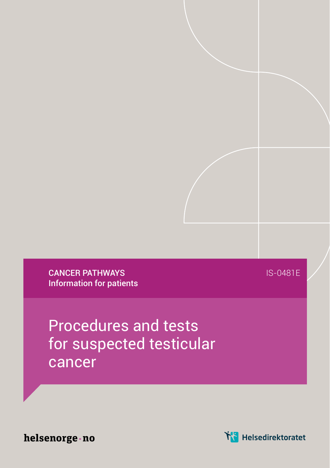CANCER PATHWAYS Information for patients IS-0481E

Procedures and tests for suspected testicular cancer

helsenorge · no

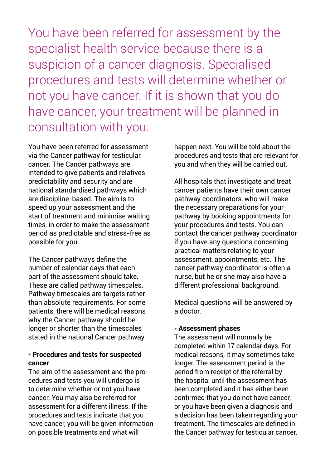You have been referred for assessment by the specialist health service because there is a suspicion of a cancer diagnosis. Specialised procedures and tests will determine whether or not you have cancer. If it is shown that you do have cancer, your treatment will be planned in consultation with you.

You have been referred for assessment via the Cancer pathway for testicular cancer. The Cancer pathways are intended to give patients and relatives predictability and security and are national standardised pathways which are discipline-based. The aim is to speed up your assessment and the start of treatment and minimise waiting times, in order to make the assessment period as predictable and stress-free as possible for you.

The Cancer pathways define the number of calendar days that each part of the assessment should take. These are called pathway timescales. Pathway timescales are targets rather than absolute requirements. For some patients, there will be medical reasons why the Cancer pathway should be longer or shorter than the timescales stated in the national Cancer pathway.

## ● **Procedures and tests for suspected cancer**

The aim of the assessment and the procedures and tests you will undergo is to determine whether or not you have cancer. You may also be referred for assessment for a different illness. If the procedures and tests indicate that you have cancer, you will be given information on possible treatments and what will

happen next. You will be told about the procedures and tests that are relevant for you and when they will be carried out.

All hospitals that investigate and treat cancer patients have their own cancer pathway coordinators, who will make the necessary preparations for your pathway by booking appointments for your procedures and tests. You can contact the cancer pathway coordinator if you have any questions concerning practical matters relating to your assessment, appointments, etc. The cancer pathway coordinator is often a nurse, but he or she may also have a different professional background.

Medical questions will be answered by a doctor.

## ● **Assessment phases**

The assessment will normally be completed within 17 calendar days. For medical reasons, it may sometimes take longer. The assessment period is the period from receipt of the referral by the hospital until the assessment has been completed and it has either been confirmed that you do not have cancer, or you have been given a diagnosis and a decision has been taken regarding your treatment. The timescales are defined in the Cancer pathway for testicular cancer.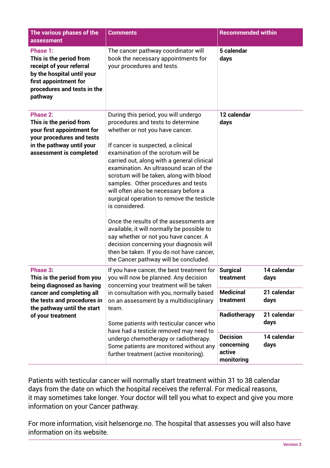| The various phases of the<br>assessment                                                                                                                                              | <b>Comments</b>                                                                                                                                                                                                                                                                                                                                                                                                                                                                                                                                                                                                                                                                                                                               | <b>Recommended within</b>                                                                                   |
|--------------------------------------------------------------------------------------------------------------------------------------------------------------------------------------|-----------------------------------------------------------------------------------------------------------------------------------------------------------------------------------------------------------------------------------------------------------------------------------------------------------------------------------------------------------------------------------------------------------------------------------------------------------------------------------------------------------------------------------------------------------------------------------------------------------------------------------------------------------------------------------------------------------------------------------------------|-------------------------------------------------------------------------------------------------------------|
| Phase 1:<br>This is the period from<br>receipt of your referral<br>by the hospital until your<br>first appointment for<br>procedures and tests in the<br>pathway                     | The cancer pathway coordinator will<br>book the necessary appointments for<br>your procedures and tests.                                                                                                                                                                                                                                                                                                                                                                                                                                                                                                                                                                                                                                      | 5 calendar<br>days                                                                                          |
| Phase 2:<br>This is the period from<br>your first appointment for<br>your procedures and tests<br>in the pathway until your<br>assessment is completed                               | During this period, you will undergo<br>procedures and tests to determine<br>whether or not you have cancer.<br>If cancer is suspected, a clinical<br>examination of the scrotum will be<br>carried out, along with a general clinical<br>examination. An ultrasound scan of the<br>scrotum will be taken, along with blood<br>samples. Other procedures and tests<br>will often also be necessary before a<br>surgical operation to remove the testicle<br>is considered.<br>Once the results of the assessments are<br>available, it will normally be possible to<br>say whether or not you have cancer. A<br>decision concerning your diagnosis will<br>then be taken. If you do not have cancer,<br>the Cancer pathway will be concluded. | 12 calendar<br>davs                                                                                         |
| Phase 3:<br>This is the period from you<br>being diagnosed as having<br>cancer and completing all<br>the tests and procedures in<br>the pathway until the start<br>of your treatment | If you have cancer, the best treatment for<br>you will now be planned. Any decision<br>concerning your treatment will be taken<br>in consultation with you, normally based<br>on an assessment by a multidisciplinary<br>team.<br>Some patients with testicular cancer who<br>have had a testicle removed may need to<br>undergo chemotherapy or radiotherapy.<br>Some patients are monitored without any<br>further treatment (active monitoring).                                                                                                                                                                                                                                                                                           | 14 calendar<br><b>Surgical</b><br>treatment<br>days<br><b>Medicinal</b><br>21 calendar<br>treatment<br>days |
|                                                                                                                                                                                      |                                                                                                                                                                                                                                                                                                                                                                                                                                                                                                                                                                                                                                                                                                                                               | 21 calendar<br>Radiotherapy<br>days                                                                         |
|                                                                                                                                                                                      |                                                                                                                                                                                                                                                                                                                                                                                                                                                                                                                                                                                                                                                                                                                                               | <b>Decision</b><br>14 calendar<br>concernina<br>days<br>active<br>monitoring                                |

Patients with testicular cancer will normally start treatment within 31 to 38 calendar days from the date on which the hospital receives the referral. For medical reasons, it may sometimes take longer. Your doctor will tell you what to expect and give you more information on your Cancer pathway.

For more information, visit helsenorge.no. The hospital that assesses you will also have information on its website.